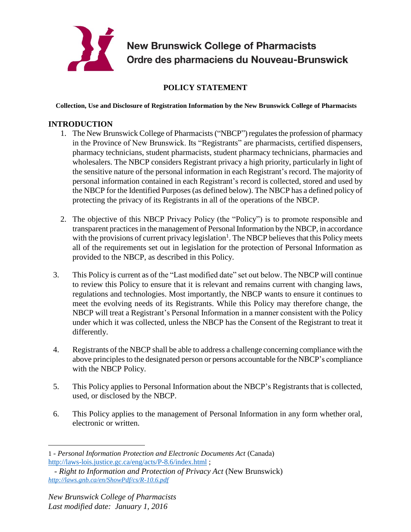

**New Brunswick College of Pharmacists** Ordre des pharmaciens du Nouveau-Brunswick

# **POLICY STATEMENT**

**Collection, Use and Disclosure of Registration Information by the New Brunswick College of Pharmacists**

### **INTRODUCTION**

- 1. The New Brunswick College of Pharmacists ("NBCP") regulates the profession of pharmacy in the Province of New Brunswick. Its "Registrants" are pharmacists, certified dispensers, pharmacy technicians, student pharmacists, student pharmacy technicians, pharmacies and wholesalers. The NBCP considers Registrant privacy a high priority, particularly in light of the sensitive nature of the personal information in each Registrant's record. The majority of personal information contained in each Registrant's record is collected, stored and used by the NBCP for the Identified Purposes (as defined below). The NBCP has a defined policy of protecting the privacy of its Registrants in all of the operations of the NBCP.
- 2. The objective of this NBCP Privacy Policy (the "Policy") is to promote responsible and transparent practices in the management of Personal Information by the NBCP, in accordance with the provisions of current privacy legislation<sup>1</sup>. The NBCP believes that this Policy meets all of the requirements set out in legislation for the protection of Personal Information as provided to the NBCP, as described in this Policy.
- 3. This Policy is current as of the "Last modified date" set out below. The NBCP will continue to review this Policy to ensure that it is relevant and remains current with changing laws, regulations and technologies. Most importantly, the NBCP wants to ensure it continues to meet the evolving needs of its Registrants. While this Policy may therefore change, the NBCP will treat a Registrant's Personal Information in a manner consistent with the Policy under which it was collected, unless the NBCP has the Consent of the Registrant to treat it differently.
- 4. Registrants of the NBCP shall be able to address a challenge concerning compliance with the above principles to the designated person or persons accountable for the NBCP's compliance with the NBCP Policy.
- 5. This Policy applies to Personal Information about the NBCP's Registrants that is collected, used, or disclosed by the NBCP.
- 6. This Policy applies to the management of Personal Information in any form whether oral, electronic or written.

 $\overline{a}$ 

<sup>1</sup> *- Personal Information Protection and Electronic Documents Act* (Canada) <http://laws-lois.justice.gc.ca/eng/acts/P-8.6/index.html> ;

 *<sup>-</sup> Right to Information and Protection of Privacy Act* (New Brunswick) *<http://laws.gnb.ca/en/ShowPdf/cs/R-10.6.pdf>*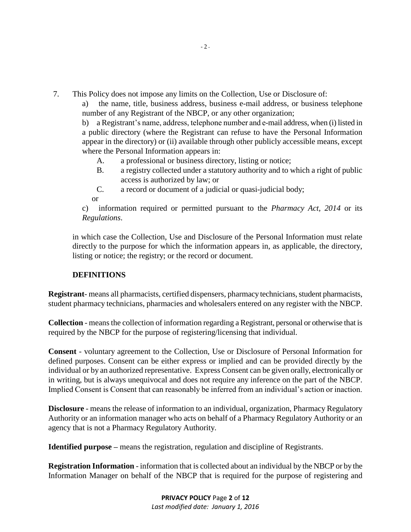- 7. This Policy does not impose any limits on the Collection, Use or Disclosure of:
	- a) the name, title, business address, business e-mail address, or business telephone number of any Registrant of the NBCP, or any other organization;

b) a Registrant's name, address, telephone number and e-mail address, when (i) listed in a public directory (where the Registrant can refuse to have the Personal Information appear in the directory) or (ii) available through other publicly accessible means, except where the Personal Information appears in:

- A. a professional or business directory, listing or notice;
- B. a registry collected under a statutory authority and to which a right of public access is authorized by law; or
- C. a record or document of a judicial or quasi-judicial body;

or

c) information required or permitted pursuant to the *Pharmacy Act, 2014* or its *Regulations*.

in which case the Collection, Use and Disclosure of the Personal Information must relate directly to the purpose for which the information appears in, as applicable, the directory, listing or notice; the registry; or the record or document.

### **DEFINITIONS**

**Registrant**- means all pharmacists, certified dispensers, pharmacy technicians, student pharmacists, student pharmacy technicians, pharmacies and wholesalers entered on any register with the NBCP.

**Collection** - means the collection of information regarding a Registrant, personal or otherwise that is required by the NBCP for the purpose of registering/licensing that individual.

**Consent** - voluntary agreement to the Collection, Use or Disclosure of Personal Information for defined purposes. Consent can be either express or implied and can be provided directly by the individual or by an authorized representative. Express Consent can be given orally, electronically or in writing, but is always unequivocal and does not require any inference on the part of the NBCP. Implied Consent is Consent that can reasonably be inferred from an individual's action or inaction.

**Disclosure** - means the release of information to an individual, organization, Pharmacy Regulatory Authority or an information manager who acts on behalf of a Pharmacy Regulatory Authority or an agency that is not a Pharmacy Regulatory Authority.

**Identified purpose –** means the registration, regulation and discipline of Registrants.

**Registration Information** - information that is collected about an individual by the NBCP or by the Information Manager on behalf of the NBCP that is required for the purpose of registering and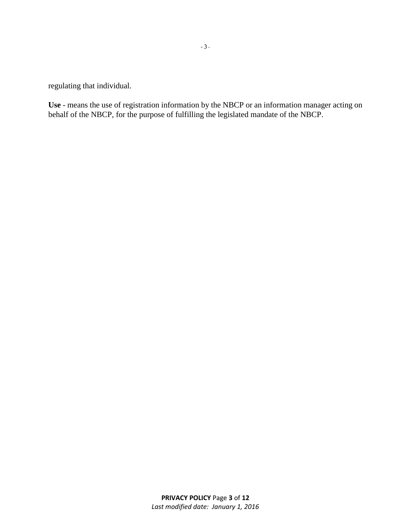regulating that individual.

**Use** - means the use of registration information by the NBCP or an information manager acting on behalf of the NBCP, for the purpose of fulfilling the legislated mandate of the NBCP.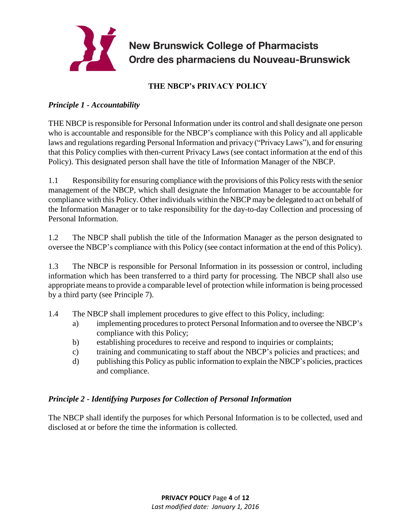

New Brunswick College of Pharmacists<br>Ordre des pharmaciens du Nouveau-Brunswick

# **THE NBCP's PRIVACY POLICY**

# *Principle 1 - Accountability*

THE NBCP is responsible for Personal Information under its control and shall designate one person who is accountable and responsible for the NBCP's compliance with this Policy and all applicable laws and regulations regarding Personal Information and privacy ("Privacy Laws"), and for ensuring that this Policy complies with then-current Privacy Laws (see contact information at the end of this Policy). This designated person shall have the title of Information Manager of the NBCP.

1.1 Responsibility for ensuring compliance with the provisions of this Policy rests with the senior management of the NBCP, which shall designate the Information Manager to be accountable for compliance with this Policy. Other individuals within the NBCP may be delegated to act on behalf of the Information Manager or to take responsibility for the day-to-day Collection and processing of Personal Information.

1.2 The NBCP shall publish the title of the Information Manager as the person designated to oversee the NBCP's compliance with this Policy (see contact information at the end of this Policy).

1.3 The NBCP is responsible for Personal Information in its possession or control, including information which has been transferred to a third party for processing. The NBCP shall also use appropriate means to provide a comparable level of protection while information is being processed by a third party (see Principle 7).

- 1.4 The NBCP shall implement procedures to give effect to this Policy, including:
	- a) implementing procedures to protect Personal Information and to oversee the NBCP's compliance with this Policy;
	- b) establishing procedures to receive and respond to inquiries or complaints;
	- c) training and communicating to staff about the NBCP's policies and practices; and
	- d) publishing this Policy as public information to explain the NBCP's policies, practices and compliance.

## *Principle 2 - Identifying Purposes for Collection of Personal Information*

The NBCP shall identify the purposes for which Personal Information is to be collected, used and disclosed at or before the time the information is collected.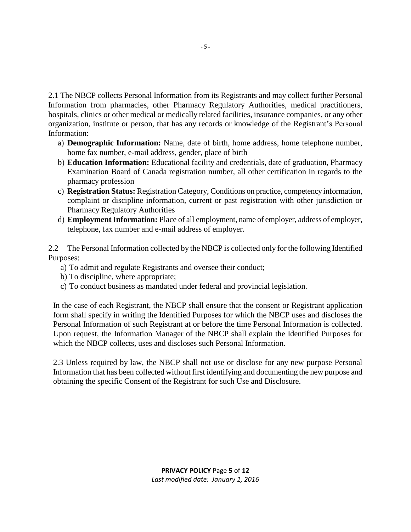2.1 The NBCP collects Personal Information from its Registrants and may collect further Personal Information from pharmacies, other Pharmacy Regulatory Authorities, medical practitioners, hospitals, clinics or other medical or medically related facilities, insurance companies, or any other organization, institute or person, that has any records or knowledge of the Registrant's Personal Information:

- a) **Demographic Information:** Name, date of birth, home address, home telephone number, home fax number, e-mail address, gender, place of birth
- b) **Education Information:** Educational facility and credentials, date of graduation, Pharmacy Examination Board of Canada registration number, all other certification in regards to the pharmacy profession
- c) **Registration Status:** Registration Category, Conditions on practice, competency information, complaint or discipline information, current or past registration with other jurisdiction or Pharmacy Regulatory Authorities
- d) **Employment Information:** Place of all employment, name of employer, address of employer, telephone, fax number and e-mail address of employer.

2.2 The Personal Information collected by the NBCP is collected only for the following Identified Purposes:

- a) To admit and regulate Registrants and oversee their conduct;
- b) To discipline, where appropriate;
- c) To conduct business as mandated under federal and provincial legislation.

In the case of each Registrant, the NBCP shall ensure that the consent or Registrant application form shall specify in writing the Identified Purposes for which the NBCP uses and discloses the Personal Information of such Registrant at or before the time Personal Information is collected. Upon request, the Information Manager of the NBCP shall explain the Identified Purposes for which the NBCP collects, uses and discloses such Personal Information.

2.3 Unless required by law, the NBCP shall not use or disclose for any new purpose Personal Information that has been collected without first identifying and documenting the new purpose and obtaining the specific Consent of the Registrant for such Use and Disclosure.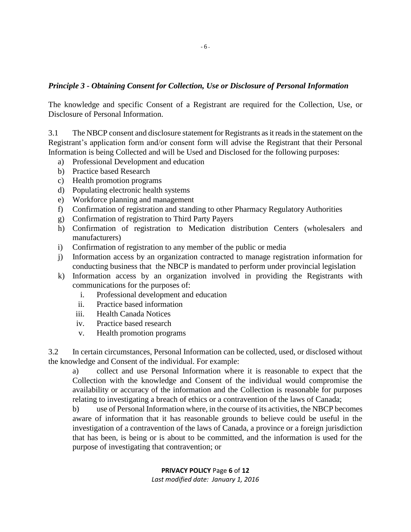#### *Principle 3 - Obtaining Consent for Collection, Use or Disclosure of Personal Information*

The knowledge and specific Consent of a Registrant are required for the Collection, Use, or Disclosure of Personal Information.

3.1 The NBCP consent and disclosure statement for Registrants as it reads in the statement on the Registrant's application form and/or consent form will advise the Registrant that their Personal Information is being Collected and will be Used and Disclosed for the following purposes:

- a) Professional Development and education
- b) Practice based Research
- c) Health promotion programs
- d) Populating electronic health systems
- e) Workforce planning and management
- f) Confirmation of registration and standing to other Pharmacy Regulatory Authorities
- g) Confirmation of registration to Third Party Payers
- h) Confirmation of registration to Medication distribution Centers (wholesalers and manufacturers)
- i) Confirmation of registration to any member of the public or media
- j) Information access by an organization contracted to manage registration information for conducting business that the NBCP is mandated to perform under provincial legislation
- k) Information access by an organization involved in providing the Registrants with communications for the purposes of:
	- i. Professional development and education
	- ii. Practice based information
	- iii. Health Canada Notices
	- iv. Practice based research
	- v. Health promotion programs

3.2 In certain circumstances, Personal Information can be collected, used, or disclosed without the knowledge and Consent of the individual. For example:

a) collect and use Personal Information where it is reasonable to expect that the Collection with the knowledge and Consent of the individual would compromise the availability or accuracy of the information and the Collection is reasonable for purposes relating to investigating a breach of ethics or a contravention of the laws of Canada;

b) use of Personal Information where, in the course of its activities, the NBCP becomes aware of information that it has reasonable grounds to believe could be useful in the investigation of a contravention of the laws of Canada, a province or a foreign jurisdiction that has been, is being or is about to be committed, and the information is used for the purpose of investigating that contravention; or

> **PRIVACY POLICY** Page **6** of **12**  *Last modified date: January 1, 2016*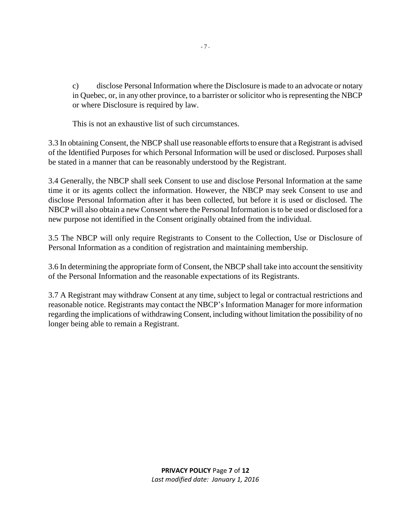c) disclose Personal Information where the Disclosure is made to an advocate or notary in Quebec, or, in any other province, to a barrister orsolicitor who is representing the NBCP or where Disclosure is required by law.

This is not an exhaustive list of such circumstances.

3.3 In obtaining Consent, the NBCP shall use reasonable efforts to ensure that a Registrant is advised of the Identified Purposes for which Personal Information will be used or disclosed. Purposes shall be stated in a manner that can be reasonably understood by the Registrant.

3.4 Generally, the NBCP shall seek Consent to use and disclose Personal Information at the same time it or its agents collect the information. However, the NBCP may seek Consent to use and disclose Personal Information after it has been collected, but before it is used or disclosed. The NBCP will also obtain a new Consent where the Personal Information is to be used or disclosed for a new purpose not identified in the Consent originally obtained from the individual.

3.5 The NBCP will only require Registrants to Consent to the Collection, Use or Disclosure of Personal Information as a condition of registration and maintaining membership.

3.6 In determining the appropriate form of Consent, the NBCP shall take into account the sensitivity of the Personal Information and the reasonable expectations of its Registrants.

3.7 A Registrant may withdraw Consent at any time, subject to legal or contractual restrictions and reasonable notice. Registrants may contact the NBCP's Information Manager for more information regarding the implications of withdrawing Consent, including without limitation the possibility of no longer being able to remain a Registrant.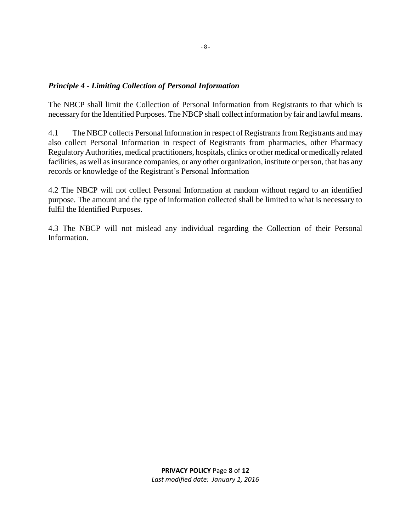### *Principle 4 - Limiting Collection of Personal Information*

The NBCP shall limit the Collection of Personal Information from Registrants to that which is necessary for the Identified Purposes. The NBCP shall collect information by fair and lawful means.

4.1 The NBCP collects Personal Information in respect of Registrants from Registrants and may also collect Personal Information in respect of Registrants from pharmacies, other Pharmacy Regulatory Authorities, medical practitioners, hospitals, clinics or other medical or medically related facilities, as well as insurance companies, or any other organization, institute or person, that has any records or knowledge of the Registrant's Personal Information

4.2 The NBCP will not collect Personal Information at random without regard to an identified purpose. The amount and the type of information collected shall be limited to what is necessary to fulfil the Identified Purposes.

4.3 The NBCP will not mislead any individual regarding the Collection of their Personal Information.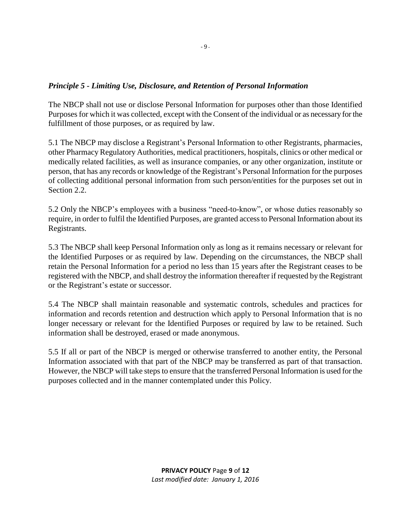### *Principle 5 - Limiting Use, Disclosure, and Retention of Personal Information*

The NBCP shall not use or disclose Personal Information for purposes other than those Identified Purposes for which it was collected, except with the Consent of the individual or as necessary for the fulfillment of those purposes, or as required by law.

5.1 The NBCP may disclose a Registrant's Personal Information to other Registrants, pharmacies, other Pharmacy Regulatory Authorities, medical practitioners, hospitals, clinics or other medical or medically related facilities, as well as insurance companies, or any other organization, institute or person, that has any records or knowledge of the Registrant's Personal Information for the purposes of collecting additional personal information from such person/entities for the purposes set out in Section 2.2.

5.2 Only the NBCP's employees with a business "need-to-know", or whose duties reasonably so require, in order to fulfil the Identified Purposes, are granted access to Personal Information about its Registrants.

5.3 The NBCP shall keep Personal Information only as long as it remains necessary or relevant for the Identified Purposes or as required by law. Depending on the circumstances, the NBCP shall retain the Personal Information for a period no less than 15 years after the Registrant ceases to be registered with the NBCP, and shall destroy the information thereafter if requested by the Registrant or the Registrant's estate or successor.

5.4 The NBCP shall maintain reasonable and systematic controls, schedules and practices for information and records retention and destruction which apply to Personal Information that is no longer necessary or relevant for the Identified Purposes or required by law to be retained. Such information shall be destroyed, erased or made anonymous.

5.5 If all or part of the NBCP is merged or otherwise transferred to another entity, the Personal Information associated with that part of the NBCP may be transferred as part of that transaction. However, the NBCP will take steps to ensure that the transferred Personal Information is used for the purposes collected and in the manner contemplated under this Policy.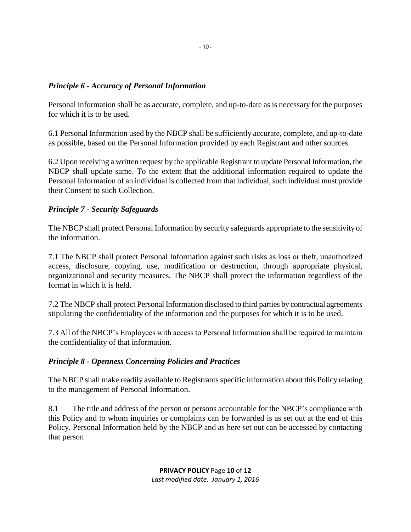### *Principle 6 - Accuracy of Personal Information*

Personal information shall be as accurate, complete, and up-to-date as is necessary for the purposes for which it is to be used.

6.1 Personal Information used by the NBCP shall be sufficiently accurate, complete, and up-to-date as possible, based on the Personal Information provided by each Registrant and other sources.

6.2 Upon receiving a written request by the applicable Registrant to update Personal Information, the NBCP shall update same. To the extent that the additional information required to update the Personal Information of an individual is collected from that individual, such individual must provide their Consent to such Collection.

### *Principle 7 - Security Safeguards*

The NBCP shall protect Personal Information by security safeguards appropriate to the sensitivity of the information.

7.1 The NBCP shall protect Personal Information against such risks as loss or theft, unauthorized access, disclosure, copying, use, modification or destruction, through appropriate physical, organizational and security measures. The NBCP shall protect the information regardless of the format in which it is held.

7.2 The NBCP shall protect Personal Information disclosed to third parties by contractual agreements stipulating the confidentiality of the information and the purposes for which it is to be used.

7.3 All of the NBCP's Employees with access to Personal Information shall be required to maintain the confidentiality of that information.

#### *Principle 8 - Openness Concerning Policies and Practices*

The NBCP shall make readily available to Registrants specific information about this Policy relating to the management of Personal Information.

8.1 The title and address of the person or persons accountable for the NBCP's compliance with this Policy and to whom inquiries or complaints can be forwarded is as set out at the end of this Policy. Personal Information held by the NBCP and as here set out can be accessed by contacting that person

> **PRIVACY POLICY** Page **10** of **12**  *Last modified date: January 1, 2016*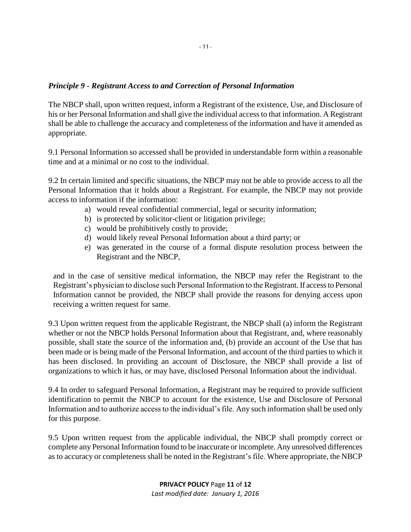### *Principle 9 - Registrant Access to and Correction of Personal Information*

The NBCP shall, upon written request, inform a Registrant of the existence, Use, and Disclosure of his or her Personal Information and shall give the individual access to that information. A Registrant shall be able to challenge the accuracy and completeness of the information and have it amended as appropriate.

9.1 Personal Information so accessed shall be provided in understandable form within a reasonable time and at a minimal or no cost to the individual.

9.2 In certain limited and specific situations, the NBCP may not be able to provide access to all the Personal Information that it holds about a Registrant. For example, the NBCP may not provide access to information if the information:

- a) would reveal confidential commercial, legal or security information;
- b) is protected by solicitor-client or litigation privilege;
- c) would be prohibitively costly to provide;
- d) would likely reveal Personal Information about a third party; or
- e) was generated in the course of a formal dispute resolution process between the Registrant and the NBCP,

and in the case of sensitive medical information, the NBCP may refer the Registrant to the Registrant's physician to disclose such Personal Information to the Registrant. If access to Personal Information cannot be provided, the NBCP shall provide the reasons for denying access upon receiving a written request for same.

9.3 Upon written request from the applicable Registrant, the NBCP shall (a) inform the Registrant whether or not the NBCP holds Personal Information about that Registrant, and, where reasonably possible, shall state the source of the information and, (b) provide an account of the Use that has been made or is being made of the Personal Information, and account of the third parties to which it has been disclosed. In providing an account of Disclosure, the NBCP shall provide a list of organizations to which it has, or may have, disclosed Personal Information about the individual.

9.4 In order to safeguard Personal Information, a Registrant may be required to provide sufficient identification to permit the NBCP to account for the existence, Use and Disclosure of Personal Information and to authorize access to the individual's file. Any such information shall be used only for this purpose.

9.5 Upon written request from the applicable individual, the NBCP shall promptly correct or complete any Personal Information found to be inaccurate or incomplete. Any unresolved differences as to accuracy or completeness shall be noted in the Registrant's file. Where appropriate, the NBCP